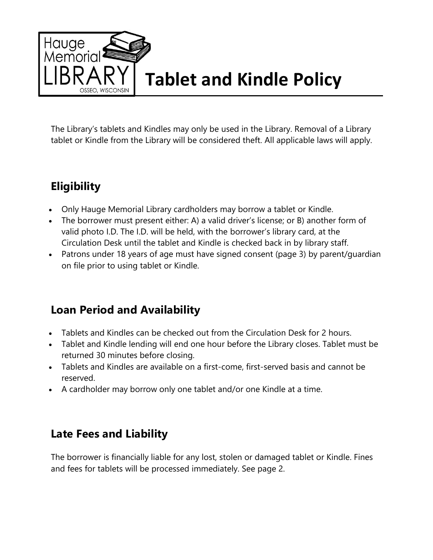

The Library's tablets and Kindles may only be used in the Library. Removal of a Library tablet or Kindle from the Library will be considered theft. All applicable laws will apply.

## **Eligibility**

- Only Hauge Memorial Library cardholders may borrow a tablet or Kindle.
- The borrower must present either: A) a valid driver's license; or B) another form of valid photo I.D. The I.D. will be held, with the borrower's library card, at the Circulation Desk until the tablet and Kindle is checked back in by library staff.
- Patrons under 18 years of age must have signed consent (page 3) by parent/guardian on file prior to using tablet or Kindle.

## **Loan Period and Availability**

- Tablets and Kindles can be checked out from the Circulation Desk for 2 hours.
- Tablet and Kindle lending will end one hour before the Library closes. Tablet must be returned 30 minutes before closing.
- Tablets and Kindles are available on a first-come, first-served basis and cannot be reserved.
- A cardholder may borrow only one tablet and/or one Kindle at a time.

## **Late Fees and Liability**

The borrower is financially liable for any lost, stolen or damaged tablet or Kindle. Fines and fees for tablets will be processed immediately. See page 2.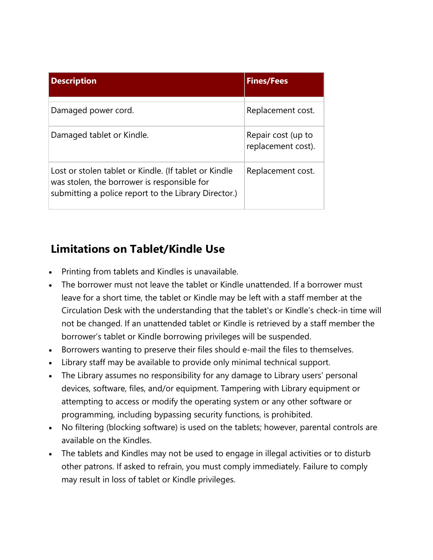| <b>Description</b>                                                                                                                                           | <b>Fines/Fees</b>  |
|--------------------------------------------------------------------------------------------------------------------------------------------------------------|--------------------|
|                                                                                                                                                              |                    |
| Damaged power cord.                                                                                                                                          | Replacement cost.  |
| Damaged tablet or Kindle.                                                                                                                                    | Repair cost (up to |
|                                                                                                                                                              | replacement cost). |
| Lost or stolen tablet or Kindle. (If tablet or Kindle<br>was stolen, the borrower is responsible for<br>submitting a police report to the Library Director.) | Replacement cost.  |
|                                                                                                                                                              |                    |
|                                                                                                                                                              |                    |

## **Limitations on Tablet/Kindle Use**

- Printing from tablets and Kindles is unavailable.
- The borrower must not leave the tablet or Kindle unattended. If a borrower must leave for a short time, the tablet or Kindle may be left with a staff member at the Circulation Desk with the understanding that the tablet's or Kindle's check-in time will not be changed. If an unattended tablet or Kindle is retrieved by a staff member the borrower's tablet or Kindle borrowing privileges will be suspended.
- Borrowers wanting to preserve their files should e-mail the files to themselves.
- Library staff may be available to provide only minimal technical support.
- The Library assumes no responsibility for any damage to Library users' personal devices, software, files, and/or equipment. Tampering with Library equipment or attempting to access or modify the operating system or any other software or programming, including bypassing security functions, is prohibited.
- No filtering (blocking software) is used on the tablets; however, parental controls are available on the Kindles.
- The tablets and Kindles may not be used to engage in illegal activities or to disturb other patrons. If asked to refrain, you must comply immediately. Failure to comply may result in loss of tablet or Kindle privileges.